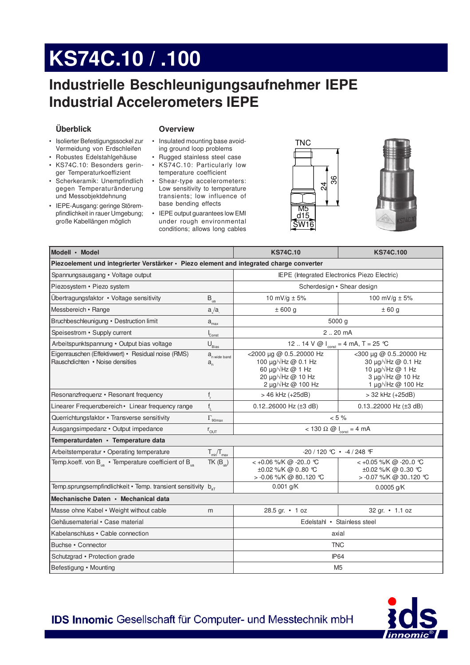# KS74C.10 / .100

## Industrielle Beschleunigungsaufnehmer IEPE **Industrial Accelerometers IEPE**

#### Überblick

#### **Overview**

- · Isolierter Befestigungssockel zur Vermeidung von Erdschleifen
- Robustes Edelstahlgehäuse
- KS74C.10: Besonders geringer Temperaturkoeffizient
- · Scherkeramik: Unempfindlich gegen Temperaturänderung und Messobjektdehnung
- IEPE-Ausgang: geringe Störempfindlichkeit in rauer Umgebung; große Kabellängen möglich
- Insulated mounting base avoiding ground loop problems
- Rugged stainless steel case
- KS74C.10: Particularly low temperature coefficient
- Shear-type accelerometers: Low sensitivity to temperature transients; low influence of base bending effects
- IEPE output guarantees low EMI under rough environmental conditions; allows long cables





| Modell · Model                                                                           |                                                        | <b>KS74C.10</b>                                                                                                                                       | <b>KS74C.100</b>                                                                                                                    |  |
|------------------------------------------------------------------------------------------|--------------------------------------------------------|-------------------------------------------------------------------------------------------------------------------------------------------------------|-------------------------------------------------------------------------------------------------------------------------------------|--|
| Piezoelement und integrierter Verstärker · Piezo element and integrated charge converter |                                                        |                                                                                                                                                       |                                                                                                                                     |  |
| Spannungsausgang • Voltage output                                                        |                                                        | IEPE (Integrated Electronics Piezo Electric)                                                                                                          |                                                                                                                                     |  |
| Piezosystem • Piezo system                                                               |                                                        | Scherdesign • Shear design                                                                                                                            |                                                                                                                                     |  |
| Übertragungsfaktor • Voltage sensitivity                                                 | $\mathsf{B}_{_\mathsf{ua}}$                            | 10 mV/g $\pm$ 5%                                                                                                                                      | 100 mV/g $\pm$ 5%                                                                                                                   |  |
| Messbereich • Range                                                                      | a/a                                                    | ±600 g                                                                                                                                                | ±60g                                                                                                                                |  |
| Bruchbeschleunigung • Destruction limit                                                  | $a_{\rm max}$                                          | 5000 g                                                                                                                                                |                                                                                                                                     |  |
| Speisestrom • Supply current                                                             | $C_{\text{onst}}$                                      | 220 mA                                                                                                                                                |                                                                                                                                     |  |
| Arbeitspunktspannung · Output bias voltage                                               | $U_{\underline{\text{Bias}}}$                          | 12  14 V @ $I_{\text{const}} = 4 \text{ mA}, T = 25 \text{ }^{\circ}\text{C}$                                                                         |                                                                                                                                     |  |
| Eigenrauschen (Effektiwert) • Residual noise (RMS)<br>Rauschdichten • Noise densities    | a <sub>n wide band</sub><br>$a_{\scriptscriptstyle n}$ | <2000 µg @ 0.520000 Hz<br>100 $\mu$ g/ $\sqrt{Hz}$ @ 0.1 Hz<br>60 $\mu$ g/ $\sqrt{Hz}$ @ 1 Hz<br>20 µg/√Hz @ 10 Hz<br>2 $\mu$ g/ $\sqrt{Hz}$ @ 100 Hz | <300 µg @ 0.520000 Hz<br>30 $\mu$ g/ $\sqrt{Hz}$ @ 0.1 Hz<br>10 µg/√Hz @ 1 Hz<br>$3 \mu q / \sqrt{Hz}$ @ 10 Hz<br>1 µg/√Hz @ 100 Hz |  |
| Resonanzfrequenz • Resonant frequency                                                    | $\mathsf{f}_{\mathsf{r}}$                              | > 46 kHz (+25dB)                                                                                                                                      | > 32 kHz (+25dB)                                                                                                                    |  |
| Linearer Frequenzbereich • Linear frequency range                                        | $f_{\rm L}$                                            | 0.1226000 Hz $(\pm 3$ dB)                                                                                                                             | 0.1322000 Hz $(\pm 3$ dB)                                                                                                           |  |
| Querrichtungsfaktor · Transverse sensitivity                                             | $\Gamma_{\rm 90max}$                                   | $< 5 \%$                                                                                                                                              |                                                                                                                                     |  |
| Ausgangsimpedanz · Output impedance                                                      | $r_{\text{OUT}}$                                       | $<$ 130 $\Omega$ @ $I_{\text{const}}$ = 4 mA                                                                                                          |                                                                                                                                     |  |
| Temperaturdaten · Temperature data                                                       |                                                        |                                                                                                                                                       |                                                                                                                                     |  |
| Arbeitstemperatur • Operating temperature                                                | $T_{\text{min}}/T_{\text{max}}$                        | -20 / 120 ℃ • -4 / 248 F                                                                                                                              |                                                                                                                                     |  |
| Temp.koeff. von $B_{\text{in}}$ • Temperature coefficient of $B_{\text{in}}$             | $TK(B_{\text{in}})$                                    | < +0.06 %/K @ -200 ℃<br>±0.02 %/K @ 080 °C<br>> -0.06 %/K @ 80120 ℃                                                                                   | < +0.05 %/K @ -200 ℃<br>±0.02 %/K @ 030 °C<br>> -0.07 %/K @ 30120 ℃                                                                 |  |
| Temp.sprungsempfindlichkeit • Temp. transient sensitivity b <sub>ar</sub>                |                                                        | $0.001$ g/K                                                                                                                                           | $0.0005$ g/K                                                                                                                        |  |
| Mechanische Daten • Mechanical data                                                      |                                                        |                                                                                                                                                       |                                                                                                                                     |  |
| Masse ohne Kabel • Weight without cable                                                  | m                                                      | 28.5 gr. • 1 oz                                                                                                                                       | 32 gr. • 1.1 oz                                                                                                                     |  |
| Gehäusematerial · Case material                                                          |                                                        | Edelstahl · Stainless steel                                                                                                                           |                                                                                                                                     |  |
| Kabelanschluss • Cable connection                                                        |                                                        | axial                                                                                                                                                 |                                                                                                                                     |  |
| Buchse • Connector                                                                       |                                                        | <b>TNC</b>                                                                                                                                            |                                                                                                                                     |  |
| Schutzgrad • Protection grade                                                            |                                                        | <b>IP64</b>                                                                                                                                           |                                                                                                                                     |  |
| Befestigung • Mounting                                                                   |                                                        | M <sub>5</sub>                                                                                                                                        |                                                                                                                                     |  |

**IDS Innomic Gesellschaft für Computer- und Messtechnik mbH**